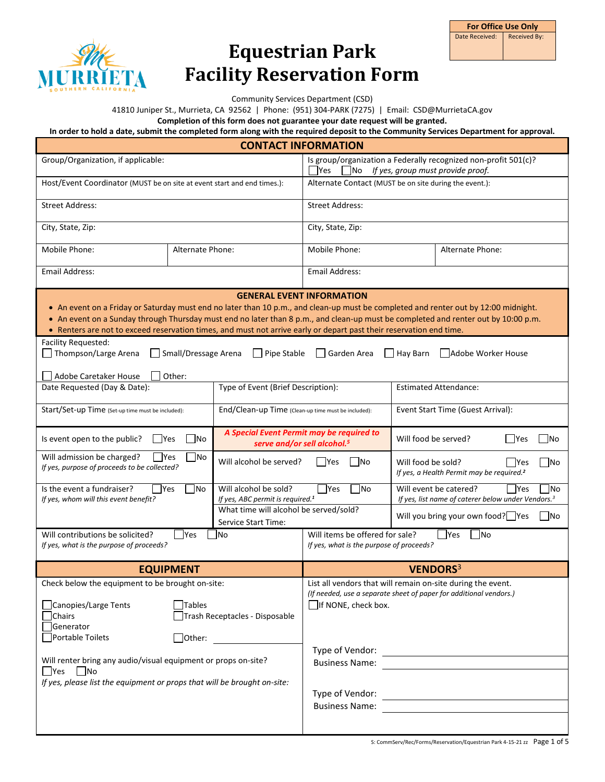

# **Equestrian Park Facility Reservation Form**

**For Office Use Only** Date Received: Received By:

Community Services Department (CSD)

41810 Juniper St., Murrieta, CA 92562 | Phone: (951) 304-PARK (7275) | Email: CSD@MurrietaCA.gov

**Completion of this form does not guarantee your date request will be granted.**

**In order to hold a date, submit the completed form along with the required deposit to the Community Services Department for approval.**

| <b>CONTACT INFORMATION</b>                                                                                                                                                                                                                                                                                                                                                                                                                                                                                                                                                                |                                                                                            |                                                                                                                                                          |                                                                                                                      |  |
|-------------------------------------------------------------------------------------------------------------------------------------------------------------------------------------------------------------------------------------------------------------------------------------------------------------------------------------------------------------------------------------------------------------------------------------------------------------------------------------------------------------------------------------------------------------------------------------------|--------------------------------------------------------------------------------------------|----------------------------------------------------------------------------------------------------------------------------------------------------------|----------------------------------------------------------------------------------------------------------------------|--|
| Group/Organization, if applicable:                                                                                                                                                                                                                                                                                                                                                                                                                                                                                                                                                        |                                                                                            | Is group/organization a Federally recognized non-profit 501(c)?<br><b>Yes</b><br>$\Box$ No If yes, group must provide proof.                             |                                                                                                                      |  |
| Host/Event Coordinator (MUST be on site at event start and end times.):                                                                                                                                                                                                                                                                                                                                                                                                                                                                                                                   |                                                                                            | Alternate Contact (MUST be on site during the event.):                                                                                                   |                                                                                                                      |  |
| <b>Street Address:</b>                                                                                                                                                                                                                                                                                                                                                                                                                                                                                                                                                                    |                                                                                            | <b>Street Address:</b>                                                                                                                                   |                                                                                                                      |  |
| City, State, Zip:                                                                                                                                                                                                                                                                                                                                                                                                                                                                                                                                                                         |                                                                                            | City, State, Zip:                                                                                                                                        |                                                                                                                      |  |
| Mobile Phone:<br>Alternate Phone:                                                                                                                                                                                                                                                                                                                                                                                                                                                                                                                                                         | Mobile Phone:<br>Alternate Phone:                                                          |                                                                                                                                                          |                                                                                                                      |  |
| <b>Email Address:</b>                                                                                                                                                                                                                                                                                                                                                                                                                                                                                                                                                                     |                                                                                            | Email Address:                                                                                                                                           |                                                                                                                      |  |
| <b>GENERAL EVENT INFORMATION</b><br>• An event on a Friday or Saturday must end no later than 10 p.m., and clean-up must be completed and renter out by 12:00 midnight.<br>• An event on a Sunday through Thursday must end no later than 8 p.m., and clean-up must be completed and renter out by 10:00 p.m.<br>• Renters are not to exceed reservation times, and must not arrive early or depart past their reservation end time.<br><b>Facility Requested:</b><br>Thompson/Large Arena<br>Small/Dressage Arena<br>$\Box$ Pipe Stable<br>Garden Area<br>Adobe Worker House<br>Hay Barn |                                                                                            |                                                                                                                                                          |                                                                                                                      |  |
| Adobe Caretaker House<br>Other:                                                                                                                                                                                                                                                                                                                                                                                                                                                                                                                                                           |                                                                                            |                                                                                                                                                          |                                                                                                                      |  |
| Date Requested (Day & Date):                                                                                                                                                                                                                                                                                                                                                                                                                                                                                                                                                              | Type of Event (Brief Description):                                                         |                                                                                                                                                          | <b>Estimated Attendance:</b>                                                                                         |  |
| Start/Set-up Time (Set-up time must be included):                                                                                                                                                                                                                                                                                                                                                                                                                                                                                                                                         | End/Clean-up Time (Clean-up time must be included):                                        |                                                                                                                                                          | Event Start Time (Guest Arrival):                                                                                    |  |
| $\Box$ No<br>Is event open to the public?<br> Yes                                                                                                                                                                                                                                                                                                                                                                                                                                                                                                                                         | A Special Event Permit may be required to<br>serve and/or sell alcohol. <sup>5</sup>       |                                                                                                                                                          | Will food be served?<br>$\blacksquare$ Yes<br>- INo                                                                  |  |
| Will admission be charged?<br><b>No</b><br><b>Yes</b><br>If yes, purpose of proceeds to be collected?                                                                                                                                                                                                                                                                                                                                                                                                                                                                                     | Will alcohol be served?<br>l Yes<br>lNo                                                    |                                                                                                                                                          | Will food be sold?<br>l lYes<br><b>No</b><br>If yes, a Health Permit may be required. <sup>2</sup>                   |  |
| Is the event a fundraiser?<br>Yes<br>lNo<br>If yes, whom will this event benefit?                                                                                                                                                                                                                                                                                                                                                                                                                                                                                                         | Will alcohol be sold?<br>Tres<br><b>No</b><br>If yes, ABC permit is required. <sup>1</sup> |                                                                                                                                                          | Will event be catered?<br><b>IYes</b><br><b>No</b><br>If yes, list name of caterer below under Vendors. <sup>3</sup> |  |
|                                                                                                                                                                                                                                                                                                                                                                                                                                                                                                                                                                                           | What time will alcohol be served/sold?<br>Service Start Time:                              | Will you bring your own food? Yes<br><b>No</b>                                                                                                           |                                                                                                                      |  |
| Will contributions be solicited?<br><b>P</b> es<br>lNo<br>If yes, what is the purpose of proceeds?                                                                                                                                                                                                                                                                                                                                                                                                                                                                                        |                                                                                            | Will items be offered for sale?<br>  Yes<br><b>No</b><br>If yes, what is the purpose of proceeds?                                                        |                                                                                                                      |  |
| <b>EQUIPMENT</b>                                                                                                                                                                                                                                                                                                                                                                                                                                                                                                                                                                          |                                                                                            | <b>VENDORS</b> <sup>3</sup>                                                                                                                              |                                                                                                                      |  |
| Check below the equipment to be brought on-site:<br>Canopies/Large Tents<br>Tables<br>Trash Receptacles - Disposable<br><b>Chairs</b><br>Generator<br>Portable Toilets<br>$\bigcup$ Other:                                                                                                                                                                                                                                                                                                                                                                                                |                                                                                            | List all vendors that will remain on-site during the event.<br>(If needed, use a separate sheet of paper for additional vendors.)<br>If NONE, check box. |                                                                                                                      |  |
| Will renter bring any audio/visual equipment or props on-site?<br>□Yes □No<br>If yes, please list the equipment or props that will be brought on-site:                                                                                                                                                                                                                                                                                                                                                                                                                                    |                                                                                            |                                                                                                                                                          |                                                                                                                      |  |
|                                                                                                                                                                                                                                                                                                                                                                                                                                                                                                                                                                                           |                                                                                            | <b>Business Name:</b>                                                                                                                                    | <u> 1980 - Jan Samuel Barbara, martin d</u>                                                                          |  |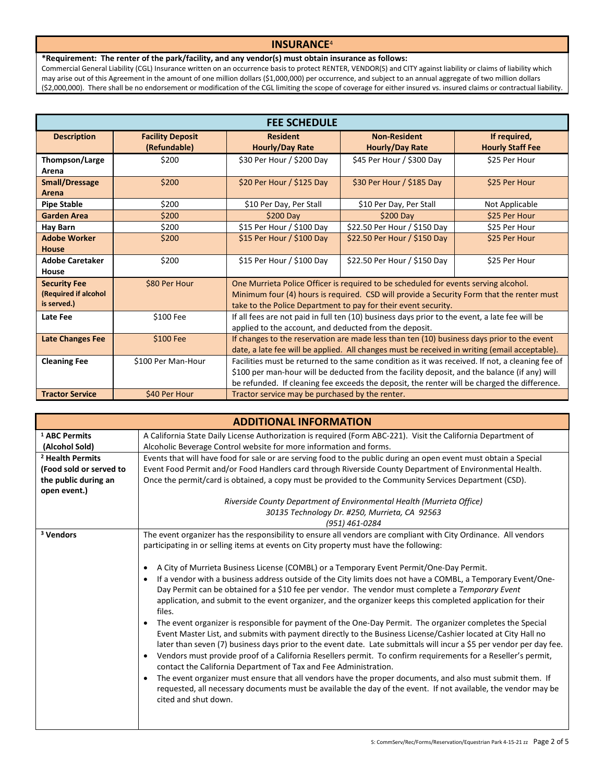## **INSURANCE**<sup>4</sup>

### **\*Requirement: The renter of the park/facility, and any vendor(s) must obtain insurance as follows:**

Commercial General Liability (CGL) Insurance written on an occurrence basis to protect RENTER, VENDOR(S) and CITY against liability or claims of liability which may arise out of this Agreement in the amount of one million dollars (\$1,000,000) per occurrence, and subject to an annual aggregate of two million dollars (\$2,000,000). There shall be no endorsement or modification of the CGL limiting the scope of coverage for either insured vs. insured claims or contractual liability.

| <b>FEE SCHEDULE</b>                                        |                                         |                                                                                                                                                                                                                                                                                                 |                                               |                                         |
|------------------------------------------------------------|-----------------------------------------|-------------------------------------------------------------------------------------------------------------------------------------------------------------------------------------------------------------------------------------------------------------------------------------------------|-----------------------------------------------|-----------------------------------------|
| <b>Description</b>                                         | <b>Facility Deposit</b><br>(Refundable) | <b>Resident</b><br><b>Hourly/Day Rate</b>                                                                                                                                                                                                                                                       | <b>Non-Resident</b><br><b>Hourly/Day Rate</b> | If required,<br><b>Hourly Staff Fee</b> |
| Thompson/Large<br>Arena                                    | \$200                                   | \$30 Per Hour / \$200 Day                                                                                                                                                                                                                                                                       | \$45 Per Hour / \$300 Day                     | \$25 Per Hour                           |
| <b>Small/Dressage</b><br>Arena                             | \$200                                   | \$20 Per Hour / \$125 Day                                                                                                                                                                                                                                                                       | \$30 Per Hour / \$185 Day                     | \$25 Per Hour                           |
| <b>Pipe Stable</b>                                         | \$200                                   | \$10 Per Day, Per Stall                                                                                                                                                                                                                                                                         | \$10 Per Day, Per Stall                       | Not Applicable                          |
| <b>Garden Area</b>                                         | \$200                                   | \$200 Day                                                                                                                                                                                                                                                                                       | \$200 Day                                     | \$25 Per Hour                           |
| <b>Hay Barn</b>                                            | \$200                                   | \$15 Per Hour / \$100 Day                                                                                                                                                                                                                                                                       | \$22.50 Per Hour / \$150 Day                  | \$25 Per Hour                           |
| <b>Adobe Worker</b><br><b>House</b>                        | \$200                                   | \$15 Per Hour / \$100 Day                                                                                                                                                                                                                                                                       | \$22.50 Per Hour / \$150 Day                  | \$25 Per Hour                           |
| <b>Adobe Caretaker</b><br>House                            | \$200                                   | \$15 Per Hour / \$100 Day                                                                                                                                                                                                                                                                       | \$22.50 Per Hour / \$150 Day                  | \$25 Per Hour                           |
| <b>Security Fee</b><br>(Required if alcohol<br>is served.) | \$80 Per Hour                           | One Murrieta Police Officer is required to be scheduled for events serving alcohol.<br>Minimum four (4) hours is required. CSD will provide a Security Form that the renter must<br>take to the Police Department to pay for their event security.                                              |                                               |                                         |
| Late Fee                                                   | \$100 Fee                               | If all fees are not paid in full ten (10) business days prior to the event, a late fee will be<br>applied to the account, and deducted from the deposit.                                                                                                                                        |                                               |                                         |
| <b>Late Changes Fee</b>                                    | \$100 Fee                               | If changes to the reservation are made less than ten (10) business days prior to the event<br>date, a late fee will be applied. All changes must be received in writing (email acceptable).                                                                                                     |                                               |                                         |
| <b>Cleaning Fee</b>                                        | \$100 Per Man-Hour                      | Facilities must be returned to the same condition as it was received. If not, a cleaning fee of<br>\$100 per man-hour will be deducted from the facility deposit, and the balance (if any) will<br>be refunded. If cleaning fee exceeds the deposit, the renter will be charged the difference. |                                               |                                         |
| <b>Tractor Service</b>                                     | \$40 Per Hour                           | Tractor service may be purchased by the renter.                                                                                                                                                                                                                                                 |                                               |                                         |

| <b>ADDITIONAL INFORMATION</b> |                                                                                                                                                                                                                                                                                                                                                                                                                                                                                                                                                                                                                                                                                                                                                                                                                                      |  |
|-------------------------------|--------------------------------------------------------------------------------------------------------------------------------------------------------------------------------------------------------------------------------------------------------------------------------------------------------------------------------------------------------------------------------------------------------------------------------------------------------------------------------------------------------------------------------------------------------------------------------------------------------------------------------------------------------------------------------------------------------------------------------------------------------------------------------------------------------------------------------------|--|
| <sup>1</sup> ABC Permits      | A California State Daily License Authorization is required (Form ABC-221). Visit the California Department of                                                                                                                                                                                                                                                                                                                                                                                                                                                                                                                                                                                                                                                                                                                        |  |
| (Alcohol Sold)                | Alcoholic Beverage Control website for more information and forms.                                                                                                                                                                                                                                                                                                                                                                                                                                                                                                                                                                                                                                                                                                                                                                   |  |
| <sup>2</sup> Health Permits   | Events that will have food for sale or are serving food to the public during an open event must obtain a Special                                                                                                                                                                                                                                                                                                                                                                                                                                                                                                                                                                                                                                                                                                                     |  |
| (Food sold or served to       | Event Food Permit and/or Food Handlers card through Riverside County Department of Environmental Health.                                                                                                                                                                                                                                                                                                                                                                                                                                                                                                                                                                                                                                                                                                                             |  |
| the public during an          | Once the permit/card is obtained, a copy must be provided to the Community Services Department (CSD).                                                                                                                                                                                                                                                                                                                                                                                                                                                                                                                                                                                                                                                                                                                                |  |
| open event.)                  |                                                                                                                                                                                                                                                                                                                                                                                                                                                                                                                                                                                                                                                                                                                                                                                                                                      |  |
|                               | Riverside County Department of Environmental Health (Murrieta Office)                                                                                                                                                                                                                                                                                                                                                                                                                                                                                                                                                                                                                                                                                                                                                                |  |
|                               | 30135 Technology Dr. #250, Murrieta, CA 92563                                                                                                                                                                                                                                                                                                                                                                                                                                                                                                                                                                                                                                                                                                                                                                                        |  |
|                               | (951) 461-0284                                                                                                                                                                                                                                                                                                                                                                                                                                                                                                                                                                                                                                                                                                                                                                                                                       |  |
| <sup>3</sup> Vendors          | The event organizer has the responsibility to ensure all vendors are compliant with City Ordinance. All vendors<br>participating in or selling items at events on City property must have the following:<br>A City of Murrieta Business License (COMBL) or a Temporary Event Permit/One-Day Permit.<br>$\bullet$                                                                                                                                                                                                                                                                                                                                                                                                                                                                                                                     |  |
|                               | If a vendor with a business address outside of the City limits does not have a COMBL, a Temporary Event/One-<br>$\bullet$<br>Day Permit can be obtained for a \$10 fee per vendor. The vendor must complete a Temporary Event<br>application, and submit to the event organizer, and the organizer keeps this completed application for their<br>files.                                                                                                                                                                                                                                                                                                                                                                                                                                                                              |  |
|                               | The event organizer is responsible for payment of the One-Day Permit. The organizer completes the Special<br>$\bullet$<br>Event Master List, and submits with payment directly to the Business License/Cashier located at City Hall no<br>later than seven (7) business days prior to the event date. Late submittals will incur a \$5 per vendor per day fee.<br>Vendors must provide proof of a California Resellers permit. To confirm requirements for a Reseller's permit,<br>$\bullet$<br>contact the California Department of Tax and Fee Administration.<br>The event organizer must ensure that all vendors have the proper documents, and also must submit them. If<br>$\bullet$<br>requested, all necessary documents must be available the day of the event. If not available, the vendor may be<br>cited and shut down. |  |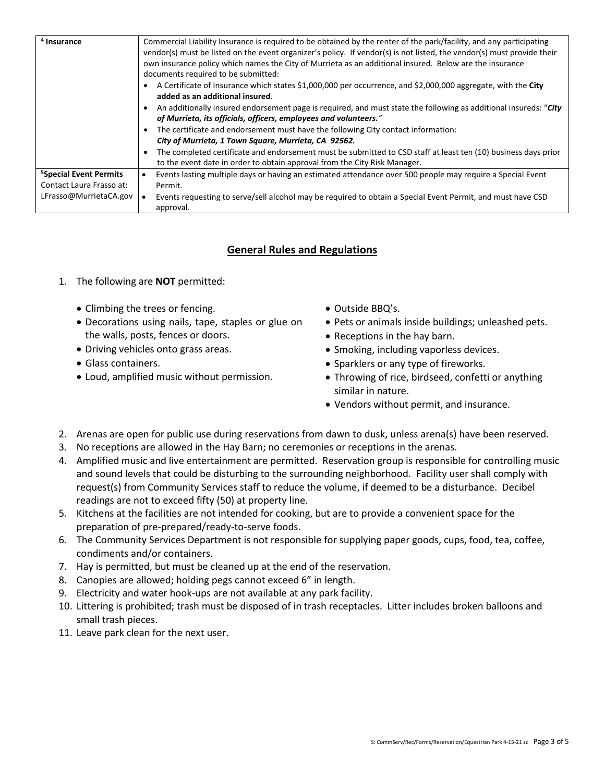| <sup>4</sup> Insurance             | Commercial Liability Insurance is required to be obtained by the renter of the park/facility, and any participating    |  |  |
|------------------------------------|------------------------------------------------------------------------------------------------------------------------|--|--|
|                                    | vendor(s) must be listed on the event organizer's policy. If vendor(s) is not listed, the vendor(s) must provide their |  |  |
|                                    | own insurance policy which names the City of Murrieta as an additional insured. Below are the insurance                |  |  |
|                                    | documents required to be submitted:                                                                                    |  |  |
|                                    | A Certificate of Insurance which states \$1,000,000 per occurrence, and \$2,000,000 aggregate, with the City           |  |  |
|                                    | added as an additional insured.                                                                                        |  |  |
|                                    | An additionally insured endorsement page is required, and must state the following as additional insureds: "City       |  |  |
|                                    | of Murrieta, its officials, officers, employees and volunteers."                                                       |  |  |
|                                    | The certificate and endorsement must have the following City contact information:<br>٠                                 |  |  |
|                                    | City of Murrieta, 1 Town Square, Murrieta, CA 92562.                                                                   |  |  |
|                                    | The completed certificate and endorsement must be submitted to CSD staff at least ten (10) business days prior         |  |  |
|                                    | to the event date in order to obtain approval from the City Risk Manager.                                              |  |  |
| <sup>5</sup> Special Event Permits | Events lasting multiple days or having an estimated attendance over 500 people may require a Special Event             |  |  |
| Contact Laura Frasso at:           | Permit.                                                                                                                |  |  |
| LFrasso@MurrietaCA.gov             | Events requesting to serve/sell alcohol may be required to obtain a Special Event Permit, and must have CSD            |  |  |
|                                    | approval.                                                                                                              |  |  |

## **General Rules and Regulations**

- 1. The following are **NOT** permitted:
	- Climbing the trees or fencing.
	- Decorations using nails, tape, staples or glue on the walls, posts, fences or doors.
	- Driving vehicles onto grass areas.
	- Glass containers.
	- Loud, amplified music without permission.
- Outside BBQ's.
- Pets or animals inside buildings; unleashed pets.
- Receptions in the hay barn.
- Smoking, including vaporless devices.
- Sparklers or any type of fireworks.
- Throwing of rice, birdseed, confetti or anything similar in nature.
- Vendors without permit, and insurance.
- 2. Arenas are open for public use during reservations from dawn to dusk, unless arena(s) have been reserved.
- 3. No receptions are allowed in the Hay Barn; no ceremonies or receptions in the arenas.
- 4. Amplified music and live entertainment are permitted. Reservation group is responsible for controlling music and sound levels that could be disturbing to the surrounding neighborhood. Facility user shall comply with request(s) from Community Services staff to reduce the volume, if deemed to be a disturbance. Decibel readings are not to exceed fifty (50) at property line.
- 5. Kitchens at the facilities are not intended for cooking, but are to provide a convenient space for the preparation of pre-prepared/ready-to-serve foods.
- 6. The Community Services Department is not responsible for supplying paper goods, cups, food, tea, coffee, condiments and/or containers.
- 7. Hay is permitted, but must be cleaned up at the end of the reservation.
- 8. Canopies are allowed; holding pegs cannot exceed 6" in length.
- 9. Electricity and water hook-ups are not available at any park facility.
- 10. Littering is prohibited; trash must be disposed of in trash receptacles. Litter includes broken balloons and small trash pieces.
- 11. Leave park clean for the next user.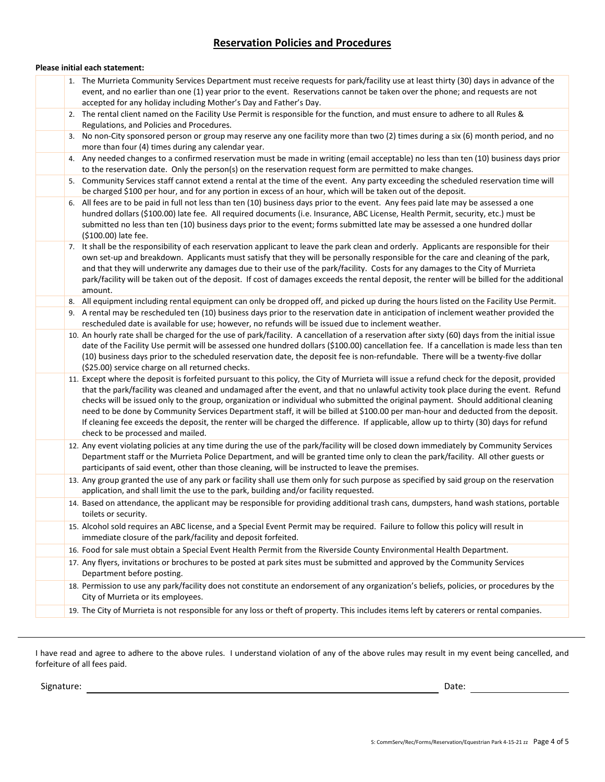## **Reservation Policies and Procedures**

#### **Please initial each statement:**

| 1. The Murrieta Community Services Department must receive requests for park/facility use at least thirty (30) days in advance of the<br>event, and no earlier than one (1) year prior to the event. Reservations cannot be taken over the phone; and requests are not<br>accepted for any holiday including Mother's Day and Father's Day.                                                                                                                                                                                                                                                                                                                                                                                                  |
|----------------------------------------------------------------------------------------------------------------------------------------------------------------------------------------------------------------------------------------------------------------------------------------------------------------------------------------------------------------------------------------------------------------------------------------------------------------------------------------------------------------------------------------------------------------------------------------------------------------------------------------------------------------------------------------------------------------------------------------------|
| 2. The rental client named on the Facility Use Permit is responsible for the function, and must ensure to adhere to all Rules &<br>Regulations, and Policies and Procedures.                                                                                                                                                                                                                                                                                                                                                                                                                                                                                                                                                                 |
| 3. No non-City sponsored person or group may reserve any one facility more than two (2) times during a six (6) month period, and no<br>more than four (4) times during any calendar year.                                                                                                                                                                                                                                                                                                                                                                                                                                                                                                                                                    |
| 4. Any needed changes to a confirmed reservation must be made in writing (email acceptable) no less than ten (10) business days prior<br>to the reservation date. Only the person(s) on the reservation request form are permitted to make changes.                                                                                                                                                                                                                                                                                                                                                                                                                                                                                          |
| 5. Community Services staff cannot extend a rental at the time of the event. Any party exceeding the scheduled reservation time will<br>be charged \$100 per hour, and for any portion in excess of an hour, which will be taken out of the deposit.                                                                                                                                                                                                                                                                                                                                                                                                                                                                                         |
| 6. All fees are to be paid in full not less than ten (10) business days prior to the event. Any fees paid late may be assessed a one<br>hundred dollars (\$100.00) late fee. All required documents (i.e. Insurance, ABC License, Health Permit, security, etc.) must be<br>submitted no less than ten (10) business days prior to the event; forms submitted late may be assessed a one hundred dollar<br>(\$100.00) late fee.                                                                                                                                                                                                                                                                                                              |
| 7. It shall be the responsibility of each reservation applicant to leave the park clean and orderly. Applicants are responsible for their<br>own set-up and breakdown. Applicants must satisfy that they will be personally responsible for the care and cleaning of the park,<br>and that they will underwrite any damages due to their use of the park/facility. Costs for any damages to the City of Murrieta<br>park/facility will be taken out of the deposit. If cost of damages exceeds the rental deposit, the renter will be billed for the additional<br>amount.                                                                                                                                                                   |
| 8. All equipment including rental equipment can only be dropped off, and picked up during the hours listed on the Facility Use Permit.                                                                                                                                                                                                                                                                                                                                                                                                                                                                                                                                                                                                       |
| 9. A rental may be rescheduled ten (10) business days prior to the reservation date in anticipation of inclement weather provided the<br>rescheduled date is available for use; however, no refunds will be issued due to inclement weather.                                                                                                                                                                                                                                                                                                                                                                                                                                                                                                 |
| 10. An hourly rate shall be charged for the use of park/facility. A cancellation of a reservation after sixty (60) days from the initial issue<br>date of the Facility Use permit will be assessed one hundred dollars (\$100.00) cancellation fee. If a cancellation is made less than ten<br>(10) business days prior to the scheduled reservation date, the deposit fee is non-refundable. There will be a twenty-five dollar<br>(\$25.00) service charge on all returned checks.                                                                                                                                                                                                                                                         |
| 11. Except where the deposit is forfeited pursuant to this policy, the City of Murrieta will issue a refund check for the deposit, provided<br>that the park/facility was cleaned and undamaged after the event, and that no unlawful activity took place during the event. Refund<br>checks will be issued only to the group, organization or individual who submitted the original payment. Should additional cleaning<br>need to be done by Community Services Department staff, it will be billed at \$100.00 per man-hour and deducted from the deposit.<br>If cleaning fee exceeds the deposit, the renter will be charged the difference. If applicable, allow up to thirty (30) days for refund<br>check to be processed and mailed. |
| 12. Any event violating policies at any time during the use of the park/facility will be closed down immediately by Community Services<br>Department staff or the Murrieta Police Department, and will be granted time only to clean the park/facility. All other guests or<br>participants of said event, other than those cleaning, will be instructed to leave the premises.                                                                                                                                                                                                                                                                                                                                                              |
| 13. Any group granted the use of any park or facility shall use them only for such purpose as specified by said group on the reservation<br>application, and shall limit the use to the park, building and/or facility requested.                                                                                                                                                                                                                                                                                                                                                                                                                                                                                                            |
| 14. Based on attendance, the applicant may be responsible for providing additional trash cans, dumpsters, hand wash stations, portable<br>toilets or security.                                                                                                                                                                                                                                                                                                                                                                                                                                                                                                                                                                               |
| 15. Alcohol sold requires an ABC license, and a Special Event Permit may be required. Failure to follow this policy will result in<br>immediate closure of the park/facility and deposit forfeited.                                                                                                                                                                                                                                                                                                                                                                                                                                                                                                                                          |
| 16. Food for sale must obtain a Special Event Health Permit from the Riverside County Environmental Health Department.                                                                                                                                                                                                                                                                                                                                                                                                                                                                                                                                                                                                                       |
| 17. Any flyers, invitations or brochures to be posted at park sites must be submitted and approved by the Community Services<br>Department before posting.                                                                                                                                                                                                                                                                                                                                                                                                                                                                                                                                                                                   |
| 18. Permission to use any park/facility does not constitute an endorsement of any organization's beliefs, policies, or procedures by the<br>City of Murrieta or its employees.                                                                                                                                                                                                                                                                                                                                                                                                                                                                                                                                                               |
| 19. The City of Murrieta is not responsible for any loss or theft of property. This includes items left by caterers or rental companies.                                                                                                                                                                                                                                                                                                                                                                                                                                                                                                                                                                                                     |

I have read and agree to adhere to the above rules. I understand violation of any of the above rules may result in my event being cancelled, and forfeiture of all fees paid.

Signature: Date: